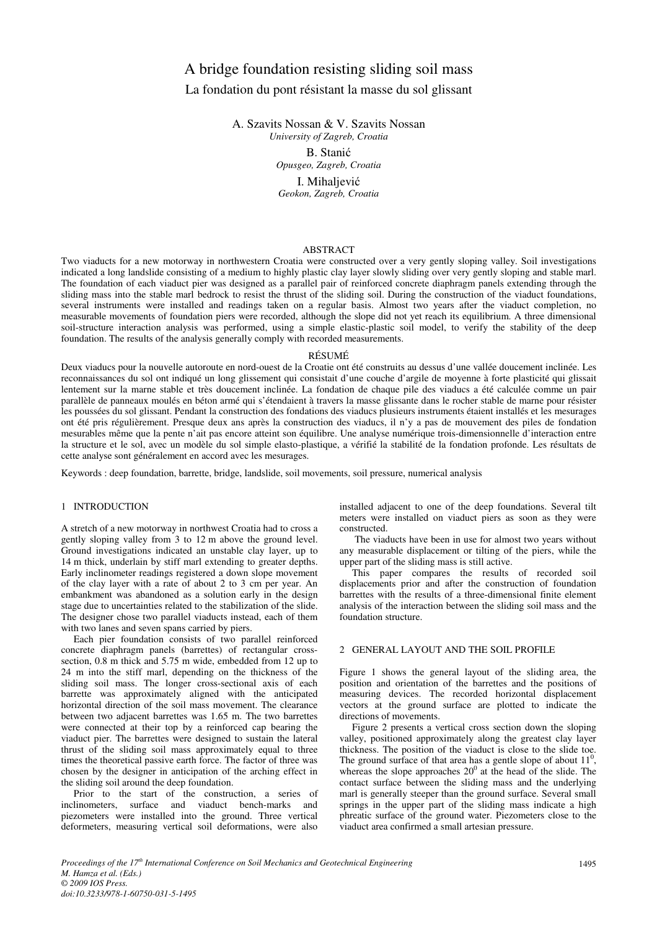# A bridge foundation resisting sliding soil mass La fondation du pont résistant la masse du sol glissant

A. Szavits Nossan & V. Szavits Nossan *University of Zagreb, Croatia* 

> B. Stanić *Opusgeo, Zagreb, Croatia*  I. Mihaljević *Geokon, Zagreb, Croatia*

## ABSTRACT

Two viaducts for a new motorway in northwestern Croatia were constructed over a very gently sloping valley. Soil investigations indicated a long landslide consisting of a medium to highly plastic clay layer slowly sliding over very gently sloping and stable marl. The foundation of each viaduct pier was designed as a parallel pair of reinforced concrete diaphragm panels extending through the sliding mass into the stable marl bedrock to resist the thrust of the sliding soil. During the construction of the viaduct foundations, several instruments were installed and readings taken on a regular basis. Almost two years after the viaduct completion, no measurable movements of foundation piers were recorded, although the slope did not yet reach its equilibrium. A three dimensional soil-structure interaction analysis was performed, using a simple elastic-plastic soil model, to verify the stability of the deep foundation. The results of the analysis generally comply with recorded measurements.

## RÉSUMÉ

Deux viaducs pour la nouvelle autoroute en nord-ouest de la Croatie ont été construits au dessus d'une vallée doucement inclinée. Les reconnaissances du sol ont indiqué un long glissement qui consistait d'une couche d'argile de moyenne à forte plasticité qui glissait lentement sur la marne stable et très doucement inclinée. La fondation de chaque pile des viaducs a été calculée comme un pair parallèle de panneaux moulés en béton armé qui s'étendaient à travers la masse glissante dans le rocher stable de marne pour résister les poussées du sol glissant. Pendant la construction des fondations des viaducs plusieurs instruments étaient installés et les mesurages ont été pris régulièrement. Presque deux ans après la construction des viaducs, il n'y a pas de mouvement des piles de fondation mesurables même que la pente n'ait pas encore atteint son équilibre. Une analyse numérique trois-dimensionnelle d'interaction entre la structure et le sol, avec un modèle du sol simple elasto-plastique, a vérifié la stabilité de la fondation profonde. Les résultats de cette analyse sont généralement en accord avec les mesurages.

Keywords : deep foundation, barrette, bridge, landslide, soil movements, soil pressure, numerical analysis

# 1 INTRODUCTION

A stretch of a new motorway in northwest Croatia had to cross a gently sloping valley from 3 to 12 m above the ground level. Ground investigations indicated an unstable clay layer, up to 14 m thick, underlain by stiff marl extending to greater depths. Early inclinometer readings registered a down slope movement of the clay layer with a rate of about 2 to 3 cm per year. An embankment was abandoned as a solution early in the design stage due to uncertainties related to the stabilization of the slide. The designer chose two parallel viaducts instead, each of them with two lanes and seven spans carried by piers.

Each pier foundation consists of two parallel reinforced concrete diaphragm panels (barrettes) of rectangular crosssection, 0.8 m thick and 5.75 m wide, embedded from 12 up to 24 m into the stiff marl, depending on the thickness of the sliding soil mass. The longer cross-sectional axis of each barrette was approximately aligned with the anticipated horizontal direction of the soil mass movement. The clearance between two adjacent barrettes was 1.65 m. The two barrettes were connected at their top by a reinforced cap bearing the viaduct pier. The barrettes were designed to sustain the lateral thrust of the sliding soil mass approximately equal to three times the theoretical passive earth force. The factor of three was chosen by the designer in anticipation of the arching effect in the sliding soil around the deep foundation.

Prior to the start of the construction, a series of inclinometers, surface and viaduct bench-marks and piezometers were installed into the ground. Three vertical deformeters, measuring vertical soil deformations, were also

installed adjacent to one of the deep foundations. Several tilt meters were installed on viaduct piers as soon as they were constructed.

 The viaducts have been in use for almost two years without any measurable displacement or tilting of the piers, while the upper part of the sliding mass is still active.

This paper compares the results of recorded soil displacements prior and after the construction of foundation barrettes with the results of a three-dimensional finite element analysis of the interaction between the sliding soil mass and the foundation structure.

# 2 GENERAL LAYOUT AND THE SOIL PROFILE

Figure 1 shows the general layout of the sliding area, the position and orientation of the barrettes and the positions of measuring devices. The recorded horizontal displacement vectors at the ground surface are plotted to indicate the directions of movements.

Figure 2 presents a vertical cross section down the sloping valley, positioned approximately along the greatest clay layer thickness. The position of the viaduct is close to the slide toe. The ground surface of that area has a gentle slope of about  $11<sup>0</sup>$ , whereas the slope approaches  $20^0$  at the head of the slide. The contact surface between the sliding mass and the underlying marl is generally steeper than the ground surface. Several small springs in the upper part of the sliding mass indicate a high phreatic surface of the ground water. Piezometers close to the viaduct area confirmed a small artesian pressure.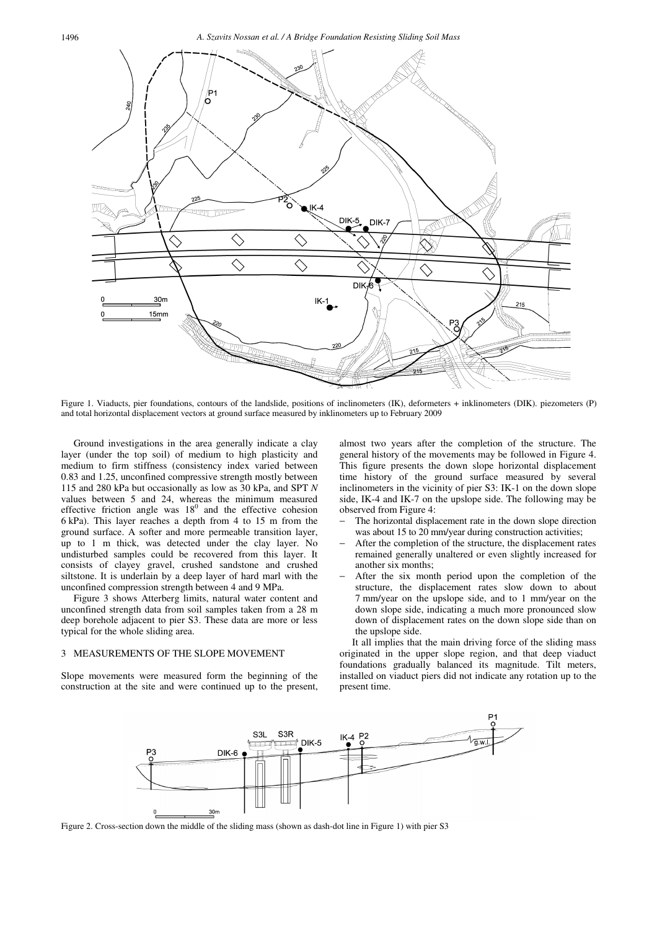1496 *A. Szavits Nossan et al. / A Bridge Foundation Resisting Sliding Soil Mass* 



Figure 1. Viaducts, pier foundations, contours of the landslide, positions of inclinometers (IK), deformeters + inklinometers (DIK). piezometers (P) and total horizontal displacement vectors at ground surface measured by inklinometers up to February 2009

Ground investigations in the area generally indicate a clay layer (under the top soil) of medium to high plasticity and medium to firm stiffness (consistency index varied between 0.83 and 1.25, unconfined compressive strength mostly between 115 and 280 kPa but occasionally as low as 30 kPa, and SPT *N* values between 5 and 24, whereas the minimum measured effective friction angle was  $18<sup>0</sup>$  and the effective cohesion 6 kPa). This layer reaches a depth from 4 to 15 m from the ground surface. A softer and more permeable transition layer, up to 1 m thick, was detected under the clay layer. No undisturbed samples could be recovered from this layer. It consists of clayey gravel, crushed sandstone and crushed siltstone. It is underlain by a deep layer of hard marl with the unconfined compression strength between 4 and 9 MPa.

Figure 3 shows Atterberg limits, natural water content and unconfined strength data from soil samples taken from a 28 m deep borehole adjacent to pier S3. These data are more or less typical for the whole sliding area.

#### 3 MEASUREMENTS OF THE SLOPE MOVEMENT

Slope movements were measured form the beginning of the construction at the site and were continued up to the present, almost two years after the completion of the structure. The general history of the movements may be followed in Figure 4. This figure presents the down slope horizontal displacement time history of the ground surface measured by several inclinometers in the vicinity of pier S3: IK-1 on the down slope side, IK-4 and IK-7 on the upslope side. The following may be observed from Figure 4:

- The horizontal displacement rate in the down slope direction was about 15 to 20 mm/year during construction activities;
- After the completion of the structure, the displacement rates remained generally unaltered or even slightly increased for another six months;
- After the six month period upon the completion of the structure, the displacement rates slow down to about 7 mm/year on the upslope side, and to 1 mm/year on the down slope side, indicating a much more pronounced slow down of displacement rates on the down slope side than on the upslope side.

It all implies that the main driving force of the sliding mass originated in the upper slope region, and that deep viaduct foundations gradually balanced its magnitude. Tilt meters, installed on viaduct piers did not indicate any rotation up to the present time.



Figure 2. Cross-section down the middle of the sliding mass (shown as dash-dot line in Figure 1) with pier S3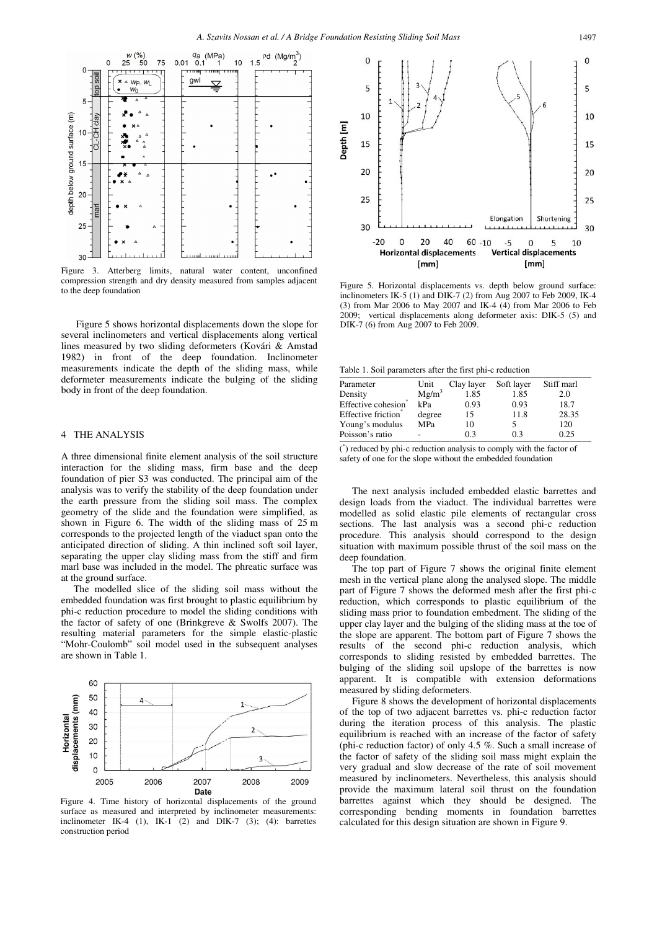

Figure 3. Atterberg limits, natural water content, unconfined compression strength and dry density measured from samples adjacent to the deep foundation

 Figure 5 shows horizontal displacements down the slope for several inclinometers and vertical displacements along vertical lines measured by two sliding deformeters (Kovári & Amstad 1982) in front of the deep foundation. Inclinometer measurements indicate the depth of the sliding mass, while deformeter measurements indicate the bulging of the sliding body in front of the deep foundation.

# 4 THE ANALYSIS

A three dimensional finite element analysis of the soil structure interaction for the sliding mass, firm base and the deep foundation of pier S3 was conducted. The principal aim of the analysis was to verify the stability of the deep foundation under the earth pressure from the sliding soil mass. The complex geometry of the slide and the foundation were simplified, as shown in Figure 6. The width of the sliding mass of 25 m corresponds to the projected length of the viaduct span onto the anticipated direction of sliding. A thin inclined soft soil layer, separating the upper clay sliding mass from the stiff and firm marl base was included in the model. The phreatic surface was at the ground surface.

The modelled slice of the sliding soil mass without the embedded foundation was first brought to plastic equilibrium by phi-c reduction procedure to model the sliding conditions with the factor of safety of one (Brinkgreve & Swolfs 2007). The resulting material parameters for the simple elastic-plastic "Mohr-Coulomb" soil model used in the subsequent analyses are shown in Table 1.



Figure 4. Time history of horizontal displacements of the ground surface as measured and interpreted by inclinometer measurements: inclinometer IK-4 (1), IK-1 (2) and DIK-7 (3); (4): barrettes construction period



Figure 5. Horizontal displacements vs. depth below ground surface: inclinometers IK-5 (1) and DIK-7 (2) from Aug 2007 to Feb 2009, IK-4 (3) from Mar 2006 to May 2007 and IK-4 (4) from Mar 2006 to Feb 2009; vertical displacements along deformeter axis: DIK-5 (5) and DIK-7 (6) from Aug 2007 to Feb 2009.

Table 1. Soil parameters after the first phi-c reduction

| Parameter                       | Unit       | Clay layer | Soft layer | Stiff marl |
|---------------------------------|------------|------------|------------|------------|
| Density                         | $Mg/m^3$   | 1.85       | 1.85       | 2.0        |
| Effective cohesion <sup>®</sup> | kPa        | 0.93       | 0.93       | 18.7       |
| Effective friction*             | degree     | 15         | 11.8       | 28.35      |
| Young's modulus                 | <b>MPa</b> | 10         |            | 120        |
| Poisson's ratio                 |            | 03         | 0.3        | 0.25       |

( \* ) reduced by phi-c reduction analysis to comply with the factor of safety of one for the slope without the embedded foundation

The next analysis included embedded elastic barrettes and design loads from the viaduct. The individual barrettes were modelled as solid elastic pile elements of rectangular cross sections. The last analysis was a second phi-c reduction procedure. This analysis should correspond to the design situation with maximum possible thrust of the soil mass on the deep foundation.

The top part of Figure 7 shows the original finite element mesh in the vertical plane along the analysed slope. The middle part of Figure 7 shows the deformed mesh after the first phi-c reduction, which corresponds to plastic equilibrium of the sliding mass prior to foundation embedment. The sliding of the upper clay layer and the bulging of the sliding mass at the toe of the slope are apparent. The bottom part of Figure 7 shows the results of the second phi-c reduction analysis, which corresponds to sliding resisted by embedded barrettes. The bulging of the sliding soil upslope of the barrettes is now apparent. It is compatible with extension deformations measured by sliding deformeters.

Figure 8 shows the development of horizontal displacements of the top of two adjacent barrettes vs. phi-c reduction factor during the iteration process of this analysis. The plastic equilibrium is reached with an increase of the factor of safety (phi-c reduction factor) of only 4.5 %. Such a small increase of the factor of safety of the sliding soil mass might explain the very gradual and slow decrease of the rate of soil movement measured by inclinometers. Nevertheless, this analysis should provide the maximum lateral soil thrust on the foundation barrettes against which they should be designed. The corresponding bending moments in foundation barrettes calculated for this design situation are shown in Figure 9.